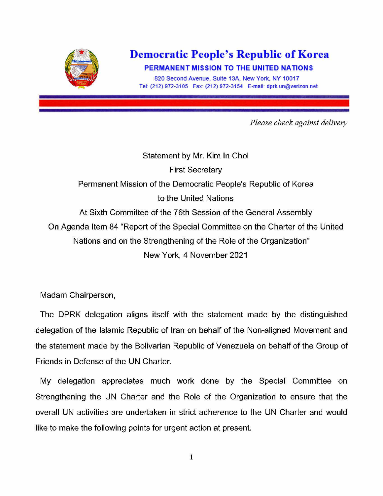

## **Democratic People's Republic of Korea**

**PERMANENT MISSION TO THE UNITED NATIONS 820 Second Avenue, Suite 13A, New York. NY 10017** 

**Tel: (212) 972-3105 Fax: (212) 972-3154 E-mail: dprk.un@verizon.net** 

*Please check against delivery* 

Statement by Mr. Kim In Chol First Secretary Permanent Mission of the Democratic People's Republic of Korea to the United Nations At Sixth Committee of the 76th Session of the General Assembly On Agenda Item 84 "Report of the Special Committee on the Charter of the United Nations and on the Strengthening of the Role of the Organization" New York, 4 November 2021

Madam Chairperson,

The DPRK delegation aligns itself with the statement made by the distinguished delegation of the Islamic Republic of Iran on behalf of the Non-aligned Movement and the statement made by the Bolivarian Republic of Venezuela on behalf of the Group of Friends in Defense of the UN Charter.

My delegation appreciates much work done by the Special Committee on Strengthening the UN Charter and the Role of the Organization to ensure that the overall UN activities are undertaken in strict adherence to the UN Charter and would like to make the following points for urgent action at present.

1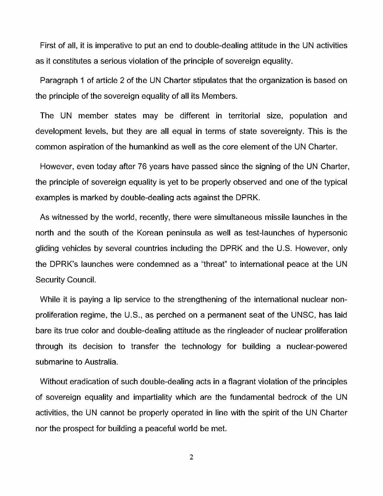First of all, it is imperative to put an end to double-dealing attitude in the UN activities as it constitutes a serious violation of the principle of sovereign equality.

Paragraph 1 of article 2 of the UN Charter stipulates that the organization is based on the principle of the sovereign equality of all its Members.

The UN member states may be different in territorial size, population and development levels, but they are all equal in terms of state sovereignty. This is the common aspiration of the humankind as well as the core element of the UN Charter.

However, even today after 76 years have passed since the signing of the UN Charter, the principle of sovereign equality is yet to be properly observed and one of the typical examples is marked by double-dealing acts against the DPRK.

As witnessed by the world, recently, there were simultaneous missile launches in the north and the south of the Korean peninsula as well as test-launches of hypersonic gliding vehicles by several countries including the DPRK and the U.S. However, only the DPRK's launches were condemned as a "threat" to international peace at the UN Security Council.

While it is paying a lip service to the strengthening of the international nuclear nonproliferation regime, the U.S., as perched on a permanent seat of the UNSC, has laid bare its true color and double-dealing attitude as the ringleader of nuclear proliferation through its decision to transfer the technology for building a nuclear-powered submarine to Australia.

Without eradication of such double-dealing acts in a flagrant violation of the principles of sovereign equality and impartiality which are the fundamental bedrock of the UN activities, the UN cannot be properly operated in line with the spirit of the UN Charter nor the prospect for building a peaceful world be met.

2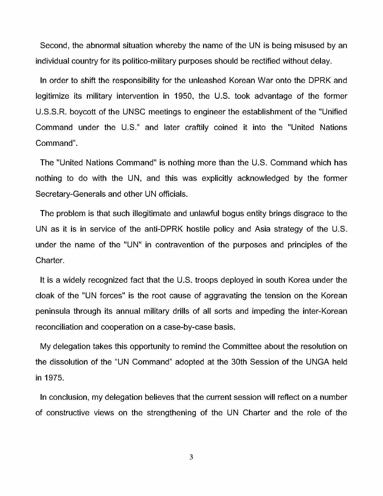Second, the abnormal situation whereby the name of the UN is being misused by an individual country for its politico-military purposes should be rectified without delay.

In order to shift the responsibility for the unleashed Korean War onto the DPRK and legitimize its military intervention in 1950, the U.S. took advantage of the former U.S.S.R. boycott of the UNSC meetings to engineer the establishment of the "Unified Command under the U.S." and later craftily coined it into the "United Nations Command".

The "United Nations Command" is nothing more than the U.S. Command which has nothing to do with the UN, and this was explicitly acknowledged by the former Secretary-Generals and other UN officials.

The problem is that such illegitimate and unlawful bogus entity brings disgrace to the UN as it is in service of the anti-DPRK hostile policy and Asia strategy of the U.S. under the name of the "UN" in contravention of the purposes and principles of the Charter.

It is a widely recognized fact that the U.S. troops deployed in south Korea under the cloak of the "UN forces" is the root cause of aggravating the tension on the Korean peninsula through its annual military drills of all sorts and impeding the inter-Korean reconciliation and cooperation on a case-by-case basis.

My delegation takes this opportunity to remind the Committee about the resolution on the dissolution of the "UN Command" adopted at the 30th Session of the UNGA held in 1975.

In conclusion, my delegation believes that the current session will reflect on a number of constructive views on the strengthening of the UN Charter and the role of the

3